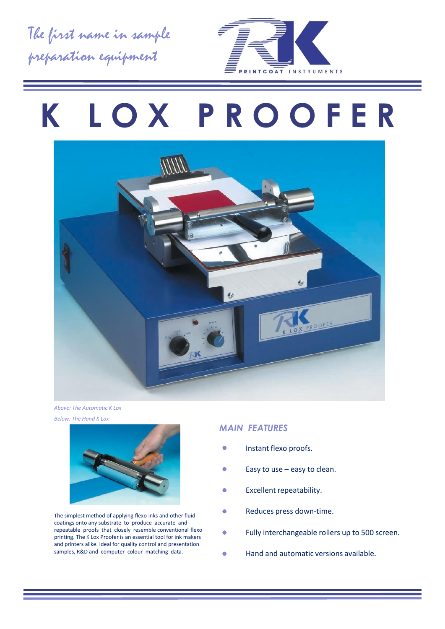The first name in sample preparation equipment



# **K L O X P R O O F E R**



*Above: The Automatic K Lox Below: The Hand K Lox*



The simplest method of applying flexo inks and other fluid coatings onto any substrate to produce accurate and repeatable proofs that closely resemble conventional flexo printing. The K Lox Proofer is an essential tool for ink makers and printers alike. Ideal for quality control and presentation samples, R&D and computer colour matching data.

#### *MAIN FEATURES*

- Instant flexo proofs.
- Easy to use easy to clean.
- Excellent repeatability.
- Reduces press down-time.
- Fully interchangeable rollers up to 500 screen.
- Hand and automatic versions available.